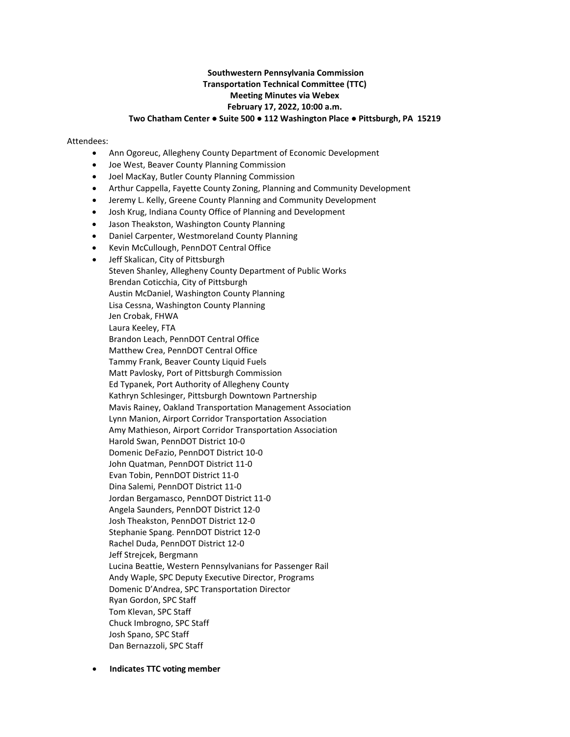# **Southwestern Pennsylvania Commission Transportation Technical Committee (TTC) Meeting Minutes via Webex February 17, 2022, 10:00 a.m. Two Chatham Center ● Suite 500 ● 112 Washington Place ● Pittsburgh, PA 15219**

#### Attendees:

- Ann Ogoreuc, Allegheny County Department of Economic Development
- Joe West, Beaver County Planning Commission
- Joel MacKay, Butler County Planning Commission
- Arthur Cappella, Fayette County Zoning, Planning and Community Development
- Jeremy L. Kelly, Greene County Planning and Community Development
- Josh Krug, Indiana County Office of Planning and Development
- Jason Theakston, Washington County Planning
- Daniel Carpenter, Westmoreland County Planning
- Kevin McCullough, PennDOT Central Office
- Jeff Skalican, City of Pittsburgh

Steven Shanley, Allegheny County Department of Public Works Brendan Coticchia, City of Pittsburgh Austin McDaniel, Washington County Planning Lisa Cessna, Washington County Planning Jen Crobak, FHWA Laura Keeley, FTA Brandon Leach, PennDOT Central Office Matthew Crea, PennDOT Central Office Tammy Frank, Beaver County Liquid Fuels Matt Pavlosky, Port of Pittsburgh Commission Ed Typanek, Port Authority of Allegheny County Kathryn Schlesinger, Pittsburgh Downtown Partnership Mavis Rainey, Oakland Transportation Management Association Lynn Manion, Airport Corridor Transportation Association Amy Mathieson, Airport Corridor Transportation Association Harold Swan, PennDOT District 10-0 Domenic DeFazio, PennDOT District 10-0 John Quatman, PennDOT District 11-0 Evan Tobin, PennDOT District 11-0 Dina Salemi, PennDOT District 11-0 Jordan Bergamasco, PennDOT District 11-0 Angela Saunders, PennDOT District 12-0 Josh Theakston, PennDOT District 12-0 Stephanie Spang. PennDOT District 12-0 Rachel Duda, PennDOT District 12-0 Jeff Strejcek, Bergmann Lucina Beattie, Western Pennsylvanians for Passenger Rail Andy Waple, SPC Deputy Executive Director, Programs Domenic D'Andrea, SPC Transportation Director Ryan Gordon, SPC Staff Tom Klevan, SPC Staff Chuck Imbrogno, SPC Staff Josh Spano, SPC Staff Dan Bernazzoli, SPC Staff

• **Indicates TTC voting member**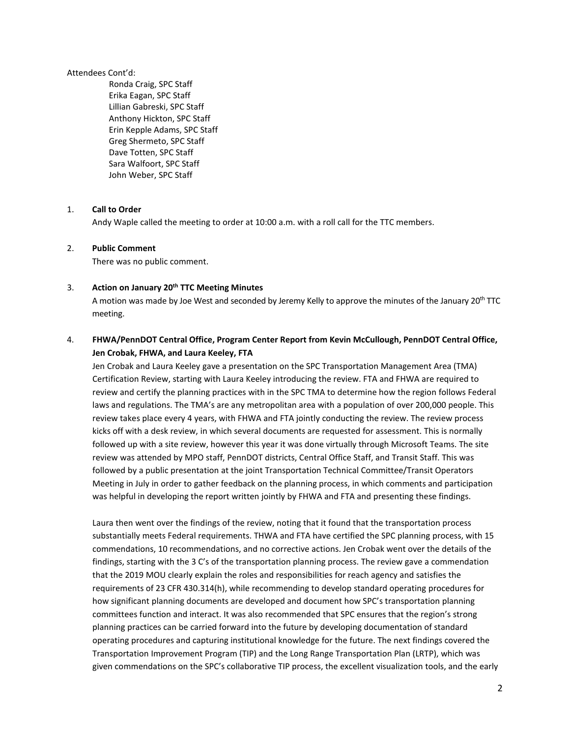#### Attendees Cont'd:

 Ronda Craig, SPC Staff Erika Eagan, SPC Staff Lillian Gabreski, SPC Staff Anthony Hickton, SPC Staff Erin Kepple Adams, SPC Staff Greg Shermeto, SPC Staff Dave Totten, SPC Staff Sara Walfoort, SPC Staff John Weber, SPC Staff

# 1. **Call to Order**

Andy Waple called the meeting to order at 10:00 a.m. with a roll call for the TTC members.

#### 2. **Public Comment**

There was no public comment.

# 3. **Action on January 20th TTC Meeting Minutes**

A motion was made by Joe West and seconded by Jeremy Kelly to approve the minutes of the January 20<sup>th</sup> TTC meeting.

# 4. **FHWA/PennDOT Central Office, Program Center Report from Kevin McCullough, PennDOT Central Office, Jen Crobak, FHWA, and Laura Keeley, FTA**

Jen Crobak and Laura Keeley gave a presentation on the SPC Transportation Management Area (TMA) Certification Review, starting with Laura Keeley introducing the review. FTA and FHWA are required to review and certify the planning practices with in the SPC TMA to determine how the region follows Federal laws and regulations. The TMA's are any metropolitan area with a population of over 200,000 people. This review takes place every 4 years, with FHWA and FTA jointly conducting the review. The review process kicks off with a desk review, in which several documents are requested for assessment. This is normally followed up with a site review, however this year it was done virtually through Microsoft Teams. The site review was attended by MPO staff, PennDOT districts, Central Office Staff, and Transit Staff. This was followed by a public presentation at the joint Transportation Technical Committee/Transit Operators Meeting in July in order to gather feedback on the planning process, in which comments and participation was helpful in developing the report written jointly by FHWA and FTA and presenting these findings.

Laura then went over the findings of the review, noting that it found that the transportation process substantially meets Federal requirements. THWA and FTA have certified the SPC planning process, with 15 commendations, 10 recommendations, and no corrective actions. Jen Crobak went over the details of the findings, starting with the 3 C's of the transportation planning process. The review gave a commendation that the 2019 MOU clearly explain the roles and responsibilities for reach agency and satisfies the requirements of 23 CFR 430.314(h), while recommending to develop standard operating procedures for how significant planning documents are developed and document how SPC's transportation planning committees function and interact. It was also recommended that SPC ensures that the region's strong planning practices can be carried forward into the future by developing documentation of standard operating procedures and capturing institutional knowledge for the future. The next findings covered the Transportation Improvement Program (TIP) and the Long Range Transportation Plan (LRTP), which was given commendations on the SPC's collaborative TIP process, the excellent visualization tools, and the early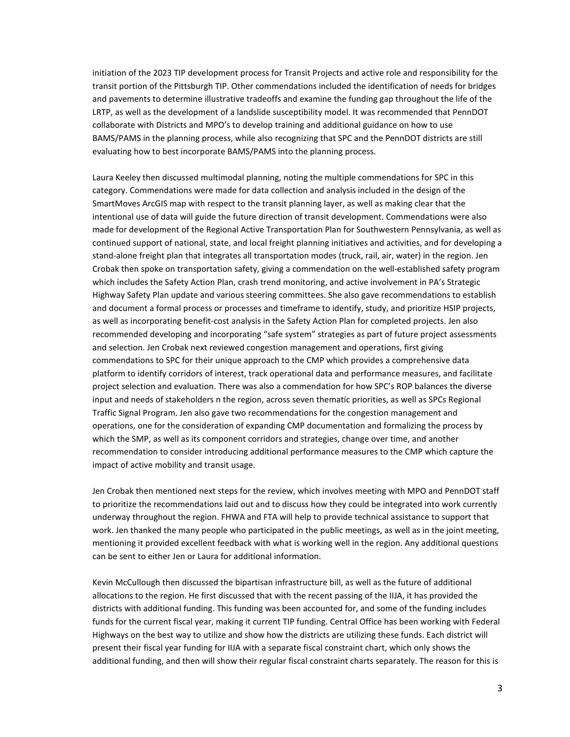initiation of the 2023 TIP development process for Transit Projects and active role and responsibility for the transit portion of the Pittsburgh TIP. Other commendations included the identification of needs for bridges and pavements to determine illustrative tradeoffs and examine the funding gap throughout the life of the LRTP, as well as the development of a landslide susceptibility model. It was recommended that PennDOT collaborate with Districts and MPO's to develop training and additional guidance on how to use BAMS/PAMS in the planning process, while also recognizing that SPC and the PennDOT districts are still evaluating how to best incorporate BAMS/PAMS into the planning process.

Laura Keeley then discussed multimodal planning, noting the multiple commendations for SPC in this category. Commendations were made for data collection and analysis included in the design of the SmartMoves ArcGIS map with respect to the transit planning layer, as well as making clear that the intentional use of data will guide the future direction of transit development. Commendations were also made for development of the Regional Active Transportation Plan for Southwestern Pennsylvania, as well as continued support of national, state, and local freight planning initiatives and activities, and for developing a stand-alone freight plan that integrates all transportation modes (truck, rail, air, water) in the region. Jen Crobak then spoke on transportation safety, giving a commendation on the well-established safety program which includes the Safety Action Plan, crash trend monitoring, and active involvement in PA's Strategic Highway Safety Plan update and various steering committees. She also gave recommendations to establish and document a formal process or processes and timeframe to identify, study, and prioritize HSIP projects, as well as incorporating benefit-cost analysis in the Safety Action Plan for completed projects. Jen also recommended developing and incorporating "safe system" strategies as part of future project assessments and selection. Jen Crobak next reviewed congestion management and operations, first giving commendations to SPC for their unique approach to the CMP which provides a comprehensive data platform to identify corridors of interest, track operational data and performance measures, and facilitate project selection and evaluation. There was also a commendation for how SPC's ROP balances the diverse input and needs of stakeholders n the region, across seven thematic priorities, as well as SPCs Regional Traffic Signal Program. Jen also gave two recommendations for the congestion management and operations, one for the consideration of expanding CMP documentation and formalizing the process by which the SMP, as well as its component corridors and strategies, change over time, and another recommendation to consider introducing additional performance measures to the CMP which capture the impact of active mobility and transit usage.

Jen Crobak then mentioned next steps for the review, which involves meeting with MPO and PennDOT staff to prioritize the recommendations laid out and to discuss how they could be integrated into work currently underway throughout the region. FHWA and FTA will help to provide technical assistance to support that work. Jen thanked the many people who participated in the public meetings, as well as in the joint meeting, mentioning it provided excellent feedback with what is working well in the region. Any additional questions can be sent to either Jen or Laura for additional information.

Kevin McCullough then discussed the bipartisan infrastructure bill, as well as the future of additional allocations to the region. He first discussed that with the recent passing of the IIJA, it has provided the districts with additional funding. This funding was been accounted for, and some of the funding includes funds for the current fiscal year, making it current TIP funding. Central Office has been working with Federal Highways on the best way to utilize and show how the districts are utilizing these funds. Each district will present their fiscal year funding for IIJA with a separate fiscal constraint chart, which only shows the additional funding, and then will show their regular fiscal constraint charts separately. The reason for this is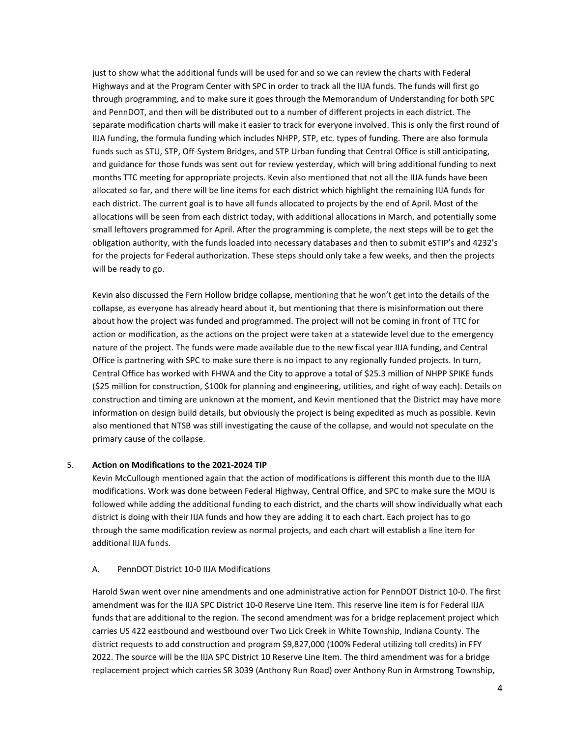just to show what the additional funds will be used for and so we can review the charts with Federal Highways and at the Program Center with SPC in order to track all the IIJA funds. The funds will first go through programming, and to make sure it goes through the Memorandum of Understanding for both SPC and PennDOT, and then will be distributed out to a number of different projects in each district. The separate modification charts will make it easier to track for everyone involved. This is only the first round of IIJA funding, the formula funding which includes NHPP, STP, etc. types of funding. There are also formula funds such as STU, STP, Off-System Bridges, and STP Urban funding that Central Office is still anticipating, and guidance for those funds was sent out for review yesterday, which will bring additional funding to next months TTC meeting for appropriate projects. Kevin also mentioned that not all the IIJA funds have been allocated so far, and there will be line items for each district which highlight the remaining IIJA funds for each district. The current goal is to have all funds allocated to projects by the end of April. Most of the allocations will be seen from each district today, with additional allocations in March, and potentially some small leftovers programmed for April. After the programming is complete, the next steps will be to get the obligation authority, with the funds loaded into necessary databases and then to submit eSTIP's and 4232's for the projects for Federal authorization. These steps should only take a few weeks, and then the projects will be ready to go.

Kevin also discussed the Fern Hollow bridge collapse, mentioning that he won't get into the details of the collapse, as everyone has already heard about it, but mentioning that there is misinformation out there about how the project was funded and programmed. The project will not be coming in front of TTC for action or modification, as the actions on the project were taken at a statewide level due to the emergency nature of the project. The funds were made available due to the new fiscal year IIJA funding, and Central Office is partnering with SPC to make sure there is no impact to any regionally funded projects. In turn, Central Office has worked with FHWA and the City to approve a total of \$25.3 million of NHPP SPIKE funds (\$25 million for construction, \$100k for planning and engineering, utilities, and right of way each). Details on construction and timing are unknown at the moment, and Kevin mentioned that the District may have more information on design build details, but obviously the project is being expedited as much as possible. Kevin also mentioned that NTSB was still investigating the cause of the collapse, and would not speculate on the primary cause of the collapse.

#### 5. **Action on Modifications to the 2021-2024 TIP**

Kevin McCullough mentioned again that the action of modifications is different this month due to the IIJA modifications. Work was done between Federal Highway, Central Office, and SPC to make sure the MOU is followed while adding the additional funding to each district, and the charts will show individually what each district is doing with their IIJA funds and how they are adding it to each chart. Each project has to go through the same modification review as normal projects, and each chart will establish a line item for additional IIJA funds.

#### A. PennDOT District 10-0 IIJA Modifications

Harold Swan went over nine amendments and one administrative action for PennDOT District 10-0. The first amendment was for the IIJA SPC District 10-0 Reserve Line Item. This reserve line item is for Federal IIJA funds that are additional to the region. The second amendment was for a bridge replacement project which carries US 422 eastbound and westbound over Two Lick Creek in White Township, Indiana County. The district requests to add construction and program \$9,827,000 (100% Federal utilizing toll credits) in FFY 2022. The source will be the IIJA SPC District 10 Reserve Line Item. The third amendment was for a bridge replacement project which carries SR 3039 (Anthony Run Road) over Anthony Run in Armstrong Township,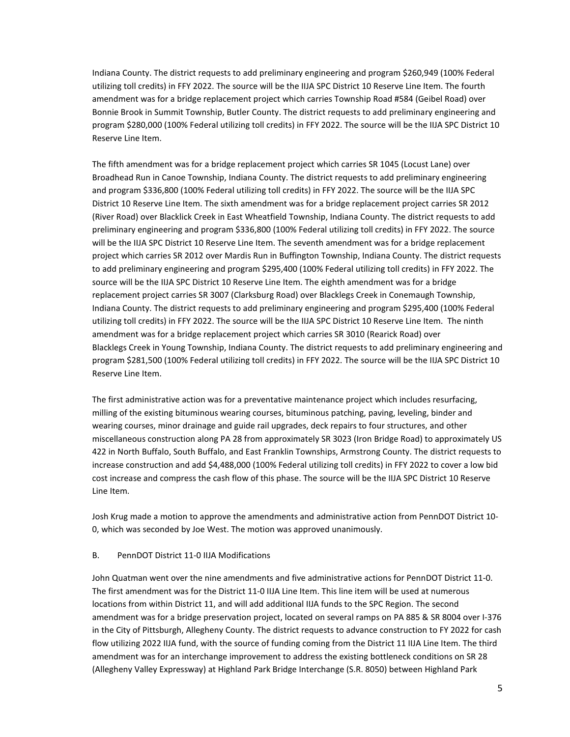Indiana County. The district requests to add preliminary engineering and program \$260,949 (100% Federal utilizing toll credits) in FFY 2022. The source will be the IIJA SPC District 10 Reserve Line Item. The fourth amendment was for a bridge replacement project which carries Township Road #584 (Geibel Road) over Bonnie Brook in Summit Township, Butler County. The district requests to add preliminary engineering and program \$280,000 (100% Federal utilizing toll credits) in FFY 2022. The source will be the IIJA SPC District 10 Reserve Line Item.

The fifth amendment was for a bridge replacement project which carries SR 1045 (Locust Lane) over Broadhead Run in Canoe Township, Indiana County. The district requests to add preliminary engineering and program \$336,800 (100% Federal utilizing toll credits) in FFY 2022. The source will be the IIJA SPC District 10 Reserve Line Item. The sixth amendment was for a bridge replacement project carries SR 2012 (River Road) over Blacklick Creek in East Wheatfield Township, Indiana County. The district requests to add preliminary engineering and program \$336,800 (100% Federal utilizing toll credits) in FFY 2022. The source will be the IIJA SPC District 10 Reserve Line Item. The seventh amendment was for a bridge replacement project which carries SR 2012 over Mardis Run in Buffington Township, Indiana County. The district requests to add preliminary engineering and program \$295,400 (100% Federal utilizing toll credits) in FFY 2022. The source will be the IIJA SPC District 10 Reserve Line Item. The eighth amendment was for a bridge replacement project carries SR 3007 (Clarksburg Road) over Blacklegs Creek in Conemaugh Township, Indiana County. The district requests to add preliminary engineering and program \$295,400 (100% Federal utilizing toll credits) in FFY 2022. The source will be the IIJA SPC District 10 Reserve Line Item. The ninth amendment was for a bridge replacement project which carries SR 3010 (Rearick Road) over Blacklegs Creek in Young Township, Indiana County. The district requests to add preliminary engineering and program \$281,500 (100% Federal utilizing toll credits) in FFY 2022. The source will be the IIJA SPC District 10 Reserve Line Item.

The first administrative action was for a preventative maintenance project which includes resurfacing, milling of the existing bituminous wearing courses, bituminous patching, paving, leveling, binder and wearing courses, minor drainage and guide rail upgrades, deck repairs to four structures, and other miscellaneous construction along PA 28 from approximately SR 3023 (Iron Bridge Road) to approximately US 422 in North Buffalo, South Buffalo, and East Franklin Townships, Armstrong County. The district requests to increase construction and add \$4,488,000 (100% Federal utilizing toll credits) in FFY 2022 to cover a low bid cost increase and compress the cash flow of this phase. The source will be the IIJA SPC District 10 Reserve Line Item.

Josh Krug made a motion to approve the amendments and administrative action from PennDOT District 10- 0, which was seconded by Joe West. The motion was approved unanimously.

#### B. PennDOT District 11-0 IIJA Modifications

John Quatman went over the nine amendments and five administrative actions for PennDOT District 11-0. The first amendment was for the District 11-0 IIJA Line Item. This line item will be used at numerous locations from within District 11, and will add additional IIJA funds to the SPC Region. The second amendment was for a bridge preservation project, located on several ramps on PA 885 & SR 8004 over I-376 in the City of Pittsburgh, Allegheny County. The district requests to advance construction to FY 2022 for cash flow utilizing 2022 IIJA fund, with the source of funding coming from the District 11 IIJA Line Item. The third amendment was for an interchange improvement to address the existing bottleneck conditions on SR 28 (Allegheny Valley Expressway) at Highland Park Bridge Interchange (S.R. 8050) between Highland Park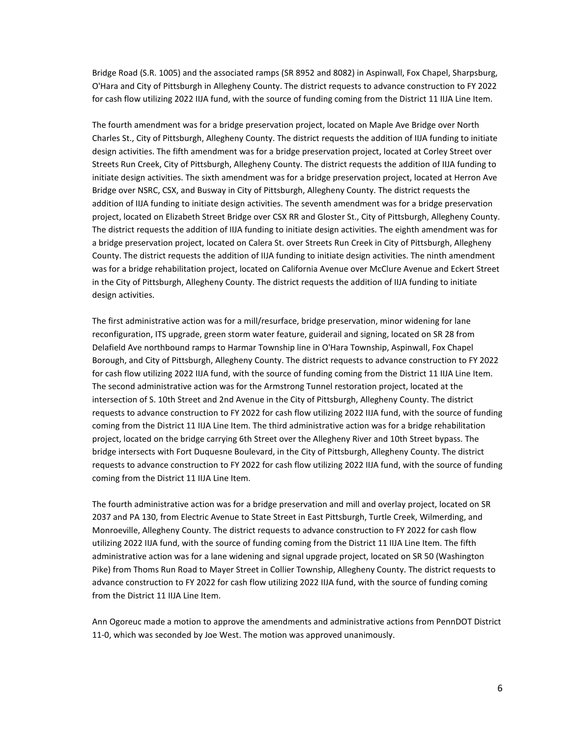Bridge Road (S.R. 1005) and the associated ramps (SR 8952 and 8082) in Aspinwall, Fox Chapel, Sharpsburg, O'Hara and City of Pittsburgh in Allegheny County. The district requests to advance construction to FY 2022 for cash flow utilizing 2022 IIJA fund, with the source of funding coming from the District 11 IIJA Line Item.

The fourth amendment was for a bridge preservation project, located on Maple Ave Bridge over North Charles St., City of Pittsburgh, Allegheny County. The district requests the addition of IIJA funding to initiate design activities. The fifth amendment was for a bridge preservation project, located at Corley Street over Streets Run Creek, City of Pittsburgh, Allegheny County. The district requests the addition of IIJA funding to initiate design activities. The sixth amendment was for a bridge preservation project, located at Herron Ave Bridge over NSRC, CSX, and Busway in City of Pittsburgh, Allegheny County. The district requests the addition of IIJA funding to initiate design activities. The seventh amendment was for a bridge preservation project, located on Elizabeth Street Bridge over CSX RR and Gloster St., City of Pittsburgh, Allegheny County. The district requests the addition of IIJA funding to initiate design activities. The eighth amendment was for a bridge preservation project, located on Calera St. over Streets Run Creek in City of Pittsburgh, Allegheny County. The district requests the addition of IIJA funding to initiate design activities. The ninth amendment was for a bridge rehabilitation project, located on California Avenue over McClure Avenue and Eckert Street in the City of Pittsburgh, Allegheny County. The district requests the addition of IIJA funding to initiate design activities.

The first administrative action was for a mill/resurface, bridge preservation, minor widening for lane reconfiguration, ITS upgrade, green storm water feature, guiderail and signing, located on SR 28 from Delafield Ave northbound ramps to Harmar Township line in O'Hara Township, Aspinwall, Fox Chapel Borough, and City of Pittsburgh, Allegheny County. The district requests to advance construction to FY 2022 for cash flow utilizing 2022 IIJA fund, with the source of funding coming from the District 11 IIJA Line Item. The second administrative action was for the Armstrong Tunnel restoration project, located at the intersection of S. 10th Street and 2nd Avenue in the City of Pittsburgh, Allegheny County. The district requests to advance construction to FY 2022 for cash flow utilizing 2022 IIJA fund, with the source of funding coming from the District 11 IIJA Line Item. The third administrative action was for a bridge rehabilitation project, located on the bridge carrying 6th Street over the Allegheny River and 10th Street bypass. The bridge intersects with Fort Duquesne Boulevard, in the City of Pittsburgh, Allegheny County. The district requests to advance construction to FY 2022 for cash flow utilizing 2022 IIJA fund, with the source of funding coming from the District 11 IIJA Line Item.

The fourth administrative action was for a bridge preservation and mill and overlay project, located on SR 2037 and PA 130, from Electric Avenue to State Street in East Pittsburgh, Turtle Creek, Wilmerding, and Monroeville, Allegheny County. The district requests to advance construction to FY 2022 for cash flow utilizing 2022 IIJA fund, with the source of funding coming from the District 11 IIJA Line Item. The fifth administrative action was for a lane widening and signal upgrade project, located on SR 50 (Washington Pike) from Thoms Run Road to Mayer Street in Collier Township, Allegheny County. The district requests to advance construction to FY 2022 for cash flow utilizing 2022 IIJA fund, with the source of funding coming from the District 11 IIJA Line Item.

Ann Ogoreuc made a motion to approve the amendments and administrative actions from PennDOT District 11-0, which was seconded by Joe West. The motion was approved unanimously.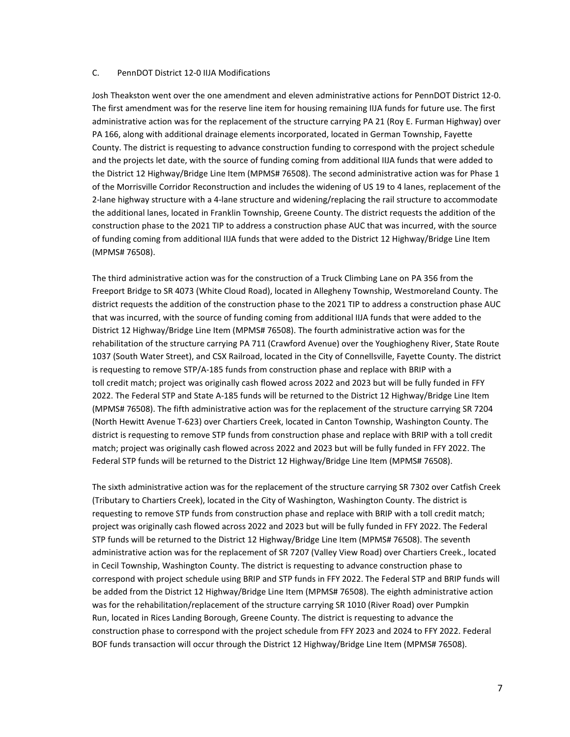# C. PennDOT District 12-0 IIJA Modifications

Josh Theakston went over the one amendment and eleven administrative actions for PennDOT District 12-0. The first amendment was for the reserve line item for housing remaining IIJA funds for future use. The first administrative action was for the replacement of the structure carrying PA 21 (Roy E. Furman Highway) over PA 166, along with additional drainage elements incorporated, located in German Township, Fayette County. The district is requesting to advance construction funding to correspond with the project schedule and the projects let date, with the source of funding coming from additional IIJA funds that were added to the District 12 Highway/Bridge Line Item (MPMS# 76508). The second administrative action was for Phase 1 of the Morrisville Corridor Reconstruction and includes the widening of US 19 to 4 lanes, replacement of the 2-lane highway structure with a 4-lane structure and widening/replacing the rail structure to accommodate the additional lanes, located in Franklin Township, Greene County. The district requests the addition of the construction phase to the 2021 TIP to address a construction phase AUC that was incurred, with the source of funding coming from additional IIJA funds that were added to the District 12 Highway/Bridge Line Item (MPMS# 76508).

The third administrative action was for the construction of a Truck Climbing Lane on PA 356 from the Freeport Bridge to SR 4073 (White Cloud Road), located in Allegheny Township, Westmoreland County. The district requests the addition of the construction phase to the 2021 TIP to address a construction phase AUC that was incurred, with the source of funding coming from additional IIJA funds that were added to the District 12 Highway/Bridge Line Item (MPMS# 76508). The fourth administrative action was for the rehabilitation of the structure carrying PA 711 (Crawford Avenue) over the Youghiogheny River, State Route 1037 (South Water Street), and CSX Railroad, located in the City of Connellsville, Fayette County. The district is requesting to remove STP/A-185 funds from construction phase and replace with BRIP with a toll credit match; project was originally cash flowed across 2022 and 2023 but will be fully funded in FFY 2022. The Federal STP and State A-185 funds will be returned to the District 12 Highway/Bridge Line Item (MPMS# 76508). The fifth administrative action was for the replacement of the structure carrying SR 7204 (North Hewitt Avenue T-623) over Chartiers Creek, located in Canton Township, Washington County. The district is requesting to remove STP funds from construction phase and replace with BRIP with a toll credit match; project was originally cash flowed across 2022 and 2023 but will be fully funded in FFY 2022. The Federal STP funds will be returned to the District 12 Highway/Bridge Line Item (MPMS# 76508).

The sixth administrative action was for the replacement of the structure carrying SR 7302 over Catfish Creek (Tributary to Chartiers Creek), located in the City of Washington, Washington County. The district is requesting to remove STP funds from construction phase and replace with BRIP with a toll credit match; project was originally cash flowed across 2022 and 2023 but will be fully funded in FFY 2022. The Federal STP funds will be returned to the District 12 Highway/Bridge Line Item (MPMS# 76508). The seventh administrative action was for the replacement of SR 7207 (Valley View Road) over Chartiers Creek., located in Cecil Township, Washington County. The district is requesting to advance construction phase to correspond with project schedule using BRIP and STP funds in FFY 2022. The Federal STP and BRIP funds will be added from the District 12 Highway/Bridge Line Item (MPMS# 76508). The eighth administrative action was for the rehabilitation/replacement of the structure carrying SR 1010 (River Road) over Pumpkin Run, located in Rices Landing Borough, Greene County. The district is requesting to advance the construction phase to correspond with the project schedule from FFY 2023 and 2024 to FFY 2022. Federal BOF funds transaction will occur through the District 12 Highway/Bridge Line Item (MPMS# 76508).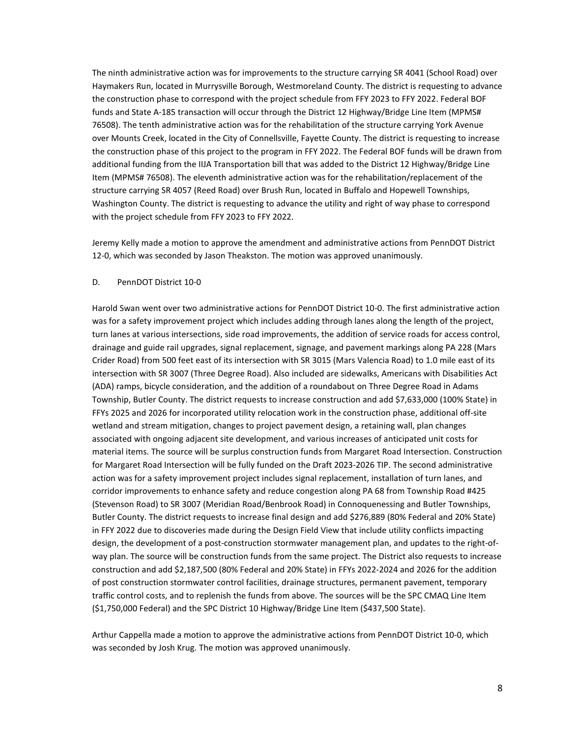The ninth administrative action was for improvements to the structure carrying SR 4041 (School Road) over Haymakers Run, located in Murrysville Borough, Westmoreland County. The district is requesting to advance the construction phase to correspond with the project schedule from FFY 2023 to FFY 2022. Federal BOF funds and State A-185 transaction will occur through the District 12 Highway/Bridge Line Item (MPMS# 76508). The tenth administrative action was for the rehabilitation of the structure carrying York Avenue over Mounts Creek, located in the City of Connellsville, Fayette County. The district is requesting to increase the construction phase of this project to the program in FFY 2022. The Federal BOF funds will be drawn from additional funding from the IIJA Transportation bill that was added to the District 12 Highway/Bridge Line Item (MPMS# 76508). The eleventh administrative action was for the rehabilitation/replacement of the structure carrying SR 4057 (Reed Road) over Brush Run, located in Buffalo and Hopewell Townships, Washington County. The district is requesting to advance the utility and right of way phase to correspond with the project schedule from FFY 2023 to FFY 2022.

Jeremy Kelly made a motion to approve the amendment and administrative actions from PennDOT District 12-0, which was seconded by Jason Theakston. The motion was approved unanimously.

## D. PennDOT District 10-0

Harold Swan went over two administrative actions for PennDOT District 10-0. The first administrative action was for a safety improvement project which includes adding through lanes along the length of the project, turn lanes at various intersections, side road improvements, the addition of service roads for access control, drainage and guide rail upgrades, signal replacement, signage, and pavement markings along PA 228 (Mars Crider Road) from 500 feet east of its intersection with SR 3015 (Mars Valencia Road) to 1.0 mile east of its intersection with SR 3007 (Three Degree Road). Also included are sidewalks, Americans with Disabilities Act (ADA) ramps, bicycle consideration, and the addition of a roundabout on Three Degree Road in Adams Township, Butler County. The district requests to increase construction and add \$7,633,000 (100% State) in FFYs 2025 and 2026 for incorporated utility relocation work in the construction phase, additional off-site wetland and stream mitigation, changes to project pavement design, a retaining wall, plan changes associated with ongoing adjacent site development, and various increases of anticipated unit costs for material items. The source will be surplus construction funds from Margaret Road Intersection. Construction for Margaret Road Intersection will be fully funded on the Draft 2023-2026 TIP. The second administrative action was for a safety improvement project includes signal replacement, installation of turn lanes, and corridor improvements to enhance safety and reduce congestion along PA 68 from Township Road #425 (Stevenson Road) to SR 3007 (Meridian Road/Benbrook Road) in Connoquenessing and Butler Townships, Butler County. The district requests to increase final design and add \$276,889 (80% Federal and 20% State) in FFY 2022 due to discoveries made during the Design Field View that include utility conflicts impacting design, the development of a post-construction stormwater management plan, and updates to the right-ofway plan. The source will be construction funds from the same project. The District also requests to increase construction and add \$2,187,500 (80% Federal and 20% State) in FFYs 2022-2024 and 2026 for the addition of post construction stormwater control facilities, drainage structures, permanent pavement, temporary traffic control costs, and to replenish the funds from above. The sources will be the SPC CMAQ Line Item (\$1,750,000 Federal) and the SPC District 10 Highway/Bridge Line Item (\$437,500 State).

Arthur Cappella made a motion to approve the administrative actions from PennDOT District 10-0, which was seconded by Josh Krug. The motion was approved unanimously.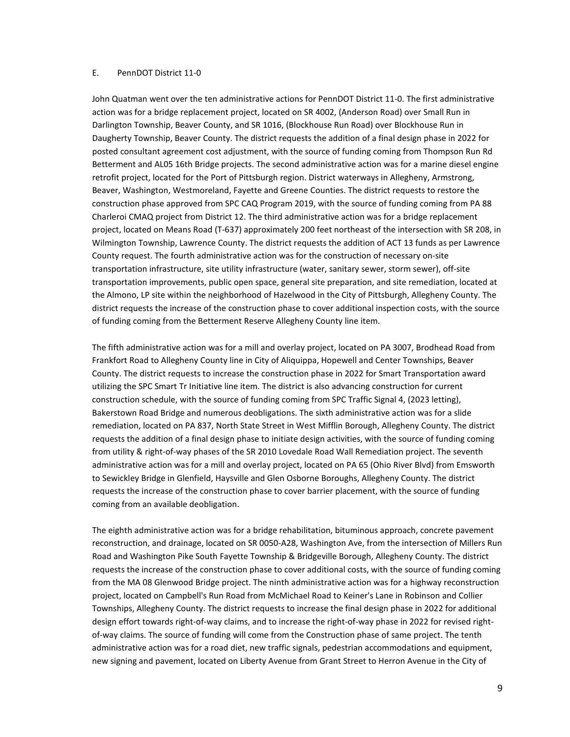# E. PennDOT District 11-0

John Quatman went over the ten administrative actions for PennDOT District 11-0. The first administrative action was for a bridge replacement project, located on SR 4002, (Anderson Road) over Small Run in Darlington Township, Beaver County, and SR 1016, (Blockhouse Run Road) over Blockhouse Run in Daugherty Township, Beaver County. The district requests the addition of a final design phase in 2022 for posted consultant agreement cost adjustment, with the source of funding coming from Thompson Run Rd Betterment and AL05 16th Bridge projects. The second administrative action was for a marine diesel engine retrofit project, located for the Port of Pittsburgh region. District waterways in Allegheny, Armstrong, Beaver, Washington, Westmoreland, Fayette and Greene Counties. The district requests to restore the construction phase approved from SPC CAQ Program 2019, with the source of funding coming from PA 88 Charleroi CMAQ project from District 12. The third administrative action was for a bridge replacement project, located on Means Road (T-637) approximately 200 feet northeast of the intersection with SR 208, in Wilmington Township, Lawrence County. The district requests the addition of ACT 13 funds as per Lawrence County request. The fourth administrative action was for the construction of necessary on-site transportation infrastructure, site utility infrastructure (water, sanitary sewer, storm sewer), off-site transportation improvements, public open space, general site preparation, and site remediation, located at the Almono, LP site within the neighborhood of Hazelwood in the City of Pittsburgh, Allegheny County. The district requests the increase of the construction phase to cover additional inspection costs, with the source of funding coming from the Betterment Reserve Allegheny County line item.

The fifth administrative action was for a mill and overlay project, located on PA 3007, Brodhead Road from Frankfort Road to Allegheny County line in City of Aliquippa, Hopewell and Center Townships, Beaver County. The district requests to increase the construction phase in 2022 for Smart Transportation award utilizing the SPC Smart Tr Initiative line item. The district is also advancing construction for current construction schedule, with the source of funding coming from SPC Traffic Signal 4, (2023 letting), Bakerstown Road Bridge and numerous deobligations. The sixth administrative action was for a slide remediation, located on PA 837, North State Street in West Mifflin Borough, Allegheny County. The district requests the addition of a final design phase to initiate design activities, with the source of funding coming from utility & right-of-way phases of the SR 2010 Lovedale Road Wall Remediation project. The seventh administrative action was for a mill and overlay project, located on PA 65 (Ohio River Blvd) from Emsworth to Sewickley Bridge in Glenfield, Haysville and Glen Osborne Boroughs, Allegheny County. The district requests the increase of the construction phase to cover barrier placement, with the source of funding coming from an available deobligation.

The eighth administrative action was for a bridge rehabilitation, bituminous approach, concrete pavement reconstruction, and drainage, located on SR 0050-A28, Washington Ave, from the intersection of Millers Run Road and Washington Pike South Fayette Township & Bridgeville Borough, Allegheny County. The district requests the increase of the construction phase to cover additional costs, with the source of funding coming from the MA 08 Glenwood Bridge project. The ninth administrative action was for a highway reconstruction project, located on Campbell's Run Road from McMichael Road to Keiner's Lane in Robinson and Collier Townships, Allegheny County. The district requests to increase the final design phase in 2022 for additional design effort towards right-of-way claims, and to increase the right-of-way phase in 2022 for revised rightof-way claims. The source of funding will come from the Construction phase of same project. The tenth administrative action was for a road diet, new traffic signals, pedestrian accommodations and equipment, new signing and pavement, located on Liberty Avenue from Grant Street to Herron Avenue in the City of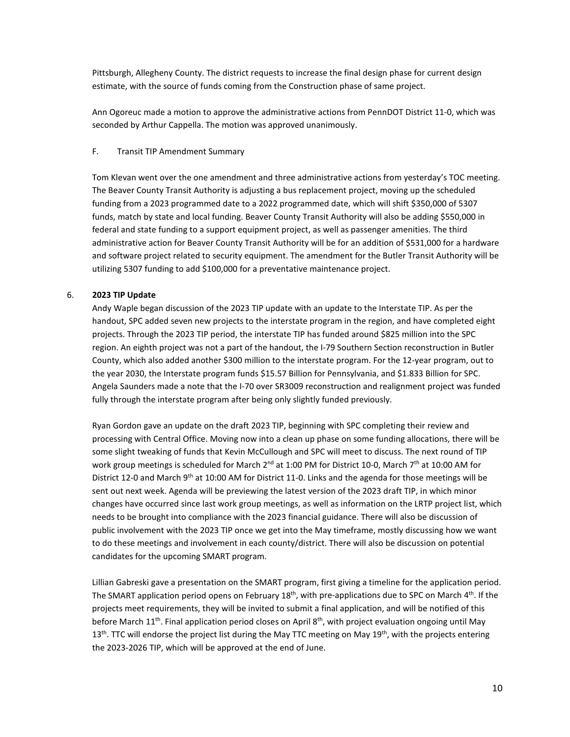Pittsburgh, Allegheny County. The district requests to increase the final design phase for current design estimate, with the source of funds coming from the Construction phase of same project.

Ann Ogoreuc made a motion to approve the administrative actions from PennDOT District 11-0, which was seconded by Arthur Cappella. The motion was approved unanimously.

# F. Transit TIP Amendment Summary

Tom Klevan went over the one amendment and three administrative actions from yesterday's TOC meeting. The Beaver County Transit Authority is adjusting a bus replacement project, moving up the scheduled funding from a 2023 programmed date to a 2022 programmed date, which will shift \$350,000 of 5307 funds, match by state and local funding. Beaver County Transit Authority will also be adding \$550,000 in federal and state funding to a support equipment project, as well as passenger amenities. The third administrative action for Beaver County Transit Authority will be for an addition of \$531,000 for a hardware and software project related to security equipment. The amendment for the Butler Transit Authority will be utilizing 5307 funding to add \$100,000 for a preventative maintenance project.

# 6. **2023 TIP Update**

Andy Waple began discussion of the 2023 TIP update with an update to the Interstate TIP. As per the handout, SPC added seven new projects to the interstate program in the region, and have completed eight projects. Through the 2023 TIP period, the interstate TIP has funded around \$825 million into the SPC region. An eighth project was not a part of the handout, the I-79 Southern Section reconstruction in Butler County, which also added another \$300 million to the interstate program. For the 12-year program, out to the year 2030, the Interstate program funds \$15.57 Billion for Pennsylvania, and \$1.833 Billion for SPC. Angela Saunders made a note that the I-70 over SR3009 reconstruction and realignment project was funded fully through the interstate program after being only slightly funded previously.

Ryan Gordon gave an update on the draft 2023 TIP, beginning with SPC completing their review and processing with Central Office. Moving now into a clean up phase on some funding allocations, there will be some slight tweaking of funds that Kevin McCullough and SPC will meet to discuss. The next round of TIP work group meetings is scheduled for March 2<sup>nd</sup> at 1:00 PM for District 10-0, March 7<sup>th</sup> at 10:00 AM for District 12-0 and March 9<sup>th</sup> at 10:00 AM for District 11-0. Links and the agenda for those meetings will be sent out next week. Agenda will be previewing the latest version of the 2023 draft TIP, in which minor changes have occurred since last work group meetings, as well as information on the LRTP project list, which needs to be brought into compliance with the 2023 financial guidance. There will also be discussion of public involvement with the 2023 TIP once we get into the May timeframe, mostly discussing how we want to do these meetings and involvement in each county/district. There will also be discussion on potential candidates for the upcoming SMART program.

Lillian Gabreski gave a presentation on the SMART program, first giving a timeline for the application period. The SMART application period opens on February 18<sup>th</sup>, with pre-applications due to SPC on March  $4^{\text{th}}$ . If the projects meet requirements, they will be invited to submit a final application, and will be notified of this before March 11<sup>th</sup>. Final application period closes on April 8<sup>th</sup>, with project evaluation ongoing until May 13<sup>th</sup>. TTC will endorse the project list during the May TTC meeting on May 19<sup>th</sup>, with the projects entering the 2023-2026 TIP, which will be approved at the end of June.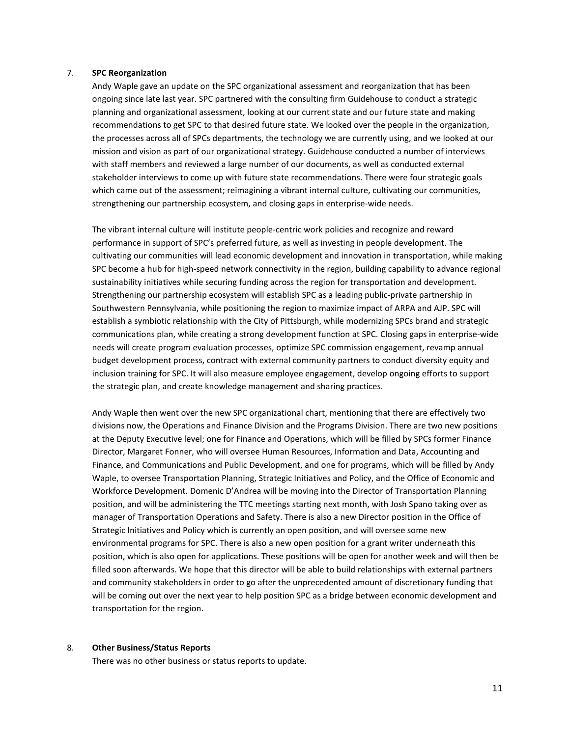#### 7. **SPC Reorganization**

Andy Waple gave an update on the SPC organizational assessment and reorganization that has been ongoing since late last year. SPC partnered with the consulting firm Guidehouse to conduct a strategic planning and organizational assessment, looking at our current state and our future state and making recommendations to get SPC to that desired future state. We looked over the people in the organization, the processes across all of SPCs departments, the technology we are currently using, and we looked at our mission and vision as part of our organizational strategy. Guidehouse conducted a number of interviews with staff members and reviewed a large number of our documents, as well as conducted external stakeholder interviews to come up with future state recommendations. There were four strategic goals which came out of the assessment; reimagining a vibrant internal culture, cultivating our communities, strengthening our partnership ecosystem, and closing gaps in enterprise-wide needs.

The vibrant internal culture will institute people-centric work policies and recognize and reward performance in support of SPC's preferred future, as well as investing in people development. The cultivating our communities will lead economic development and innovation in transportation, while making SPC become a hub for high-speed network connectivity in the region, building capability to advance regional sustainability initiatives while securing funding across the region for transportation and development. Strengthening our partnership ecosystem will establish SPC as a leading public-private partnership in Southwestern Pennsylvania, while positioning the region to maximize impact of ARPA and AJP. SPC will establish a symbiotic relationship with the City of Pittsburgh, while modernizing SPCs brand and strategic communications plan, while creating a strong development function at SPC. Closing gaps in enterprise-wide needs will create program evaluation processes, optimize SPC commission engagement, revamp annual budget development process, contract with external community partners to conduct diversity equity and inclusion training for SPC. It will also measure employee engagement, develop ongoing efforts to support the strategic plan, and create knowledge management and sharing practices.

Andy Waple then went over the new SPC organizational chart, mentioning that there are effectively two divisions now, the Operations and Finance Division and the Programs Division. There are two new positions at the Deputy Executive level; one for Finance and Operations, which will be filled by SPCs former Finance Director, Margaret Fonner, who will oversee Human Resources, Information and Data, Accounting and Finance, and Communications and Public Development, and one for programs, which will be filled by Andy Waple, to oversee Transportation Planning, Strategic Initiatives and Policy, and the Office of Economic and Workforce Development. Domenic D'Andrea will be moving into the Director of Transportation Planning position, and will be administering the TTC meetings starting next month, with Josh Spano taking over as manager of Transportation Operations and Safety. There is also a new Director position in the Office of Strategic Initiatives and Policy which is currently an open position, and will oversee some new environmental programs for SPC. There is also a new open position for a grant writer underneath this position, which is also open for applications. These positions will be open for another week and will then be filled soon afterwards. We hope that this director will be able to build relationships with external partners and community stakeholders in order to go after the unprecedented amount of discretionary funding that will be coming out over the next year to help position SPC as a bridge between economic development and transportation for the region.

#### 8. **Other Business/Status Reports**

There was no other business or status reports to update.